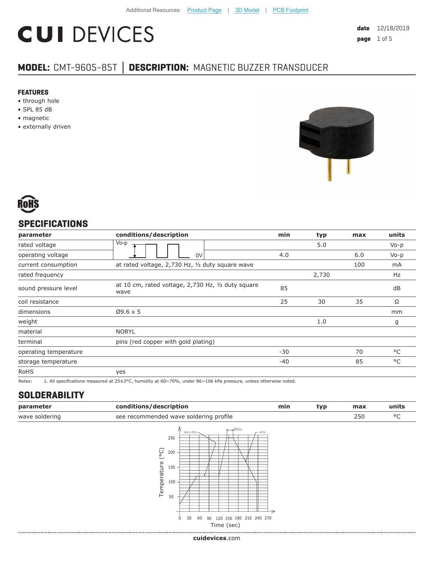# **CUI DEVICES**

**date** 12/18/2019 **page** 1 of 5

# **MODEL:** CMT-9605-85T **│ DESCRIPTION:** MAGNETIC BUZZER TRANSDUCER

#### **FEATURES**

- through hole
- SPL 85 dB
- magnetic
- externally driven





# **SPECIFICATIONS**

| parameter             | conditions/description                                     | min   | typ   | max | units     |
|-----------------------|------------------------------------------------------------|-------|-------|-----|-----------|
| rated voltage         | Vo-p                                                       |       | 5.0   |     | $V_0 - p$ |
| operating voltage     | 0V                                                         | 4.0   |       | 6.0 | $V_0 - p$ |
| current consumption   | at rated voltage, 2,730 Hz, 1/2 duty square wave           |       |       | 100 | mA        |
| rated frequency       |                                                            |       | 2,730 |     | Hz        |
| sound pressure level  | at 10 cm, rated voltage, 2,730 Hz, 1/2 duty square<br>wave | 85    |       |     | dB        |
| coil resistance       |                                                            | 25    | 30    | 35  | Ω         |
| dimensions            | $Ø9.6 \times 5$                                            |       |       |     | mm        |
| weight                |                                                            |       | 1.0   |     | g         |
| material              | <b>NORYL</b>                                               |       |       |     |           |
| terminal              | pins (red copper with gold plating)                        |       |       |     |           |
| operating temperature |                                                            | $-30$ |       | 70  | °C        |
| storage temperature   |                                                            | $-40$ |       | 85  | °C        |
| <b>RoHS</b>           | yes                                                        |       |       |     |           |

Notes: 1. All specifications measured at 25±3°C, humidity at 60~70%, under 86~106 kPa pressure, unless otherwise noted.

## **SOLDERABILITY**

| parameter      | conditions/description                 | min | tvo | max | units |
|----------------|----------------------------------------|-----|-----|-----|-------|
| wave soldering | see recommended wave soldering profile |     |     |     |       |



**cui[devices](https://www.cuidevices.com/track?actionLabel=Datasheet-ClickThrough-HomePage&label=CMT-9605-85T.pdf&path=/)**.com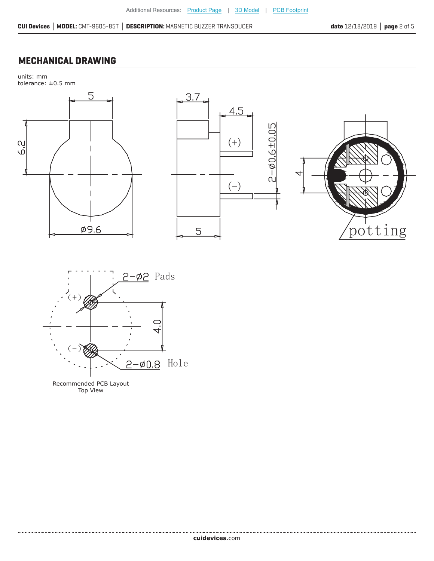# **MECHANICAL DRAWING**

units: mm







Recommended PCB Layout Top View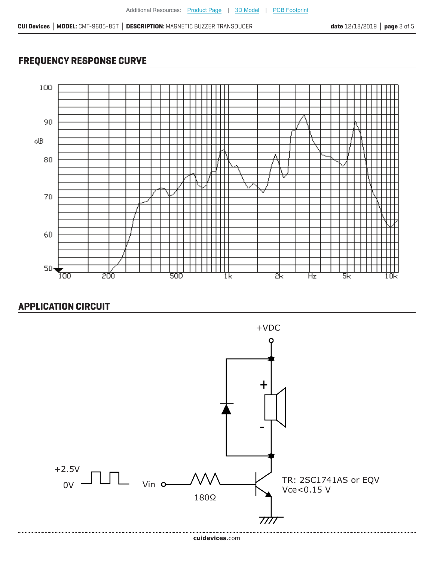# **FREQUENCY RESPONSE CURVE**



# **APPLICATION CIRCUIT**

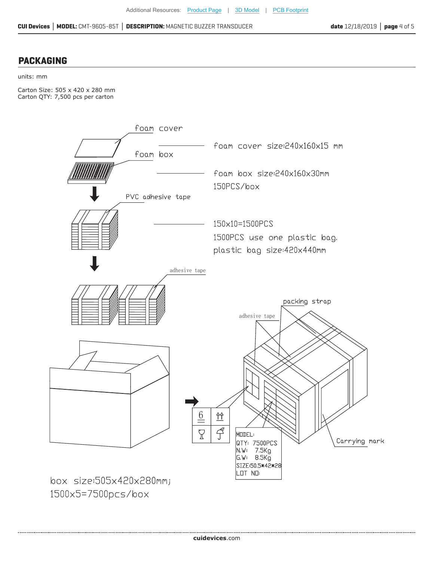## **PACKAGING**

#### units: mm

Carton Size: 505 x 420 x 280 mm Carton QTY: 7,500 pcs per carton